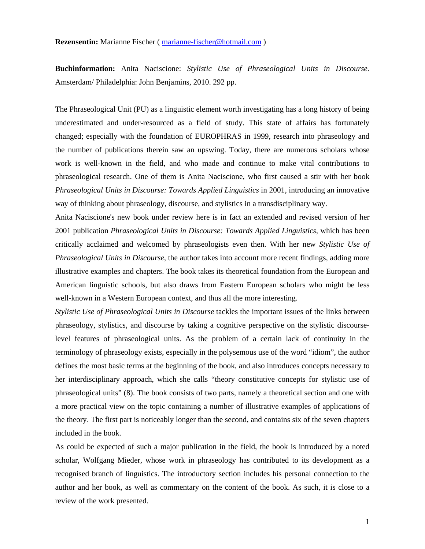**Buchinformation:** Anita Naciscione: *Stylistic Use of Phraseological Units in Discourse.* Amsterdam/ Philadelphia: John Benjamins, 2010. 292 pp.

The Phraseological Unit (PU) as a linguistic element worth investigating has a long history of being underestimated and under-resourced as a field of study. This state of affairs has fortunately changed; especially with the foundation of EUROPHRAS in 1999, research into phraseology and the number of publications therein saw an upswing. Today, there are numerous scholars whose work is well-known in the field, and who made and continue to make vital contributions to phraseological research. One of them is Anita Naciscione, who first caused a stir with her book *Phraseological Units in Discourse: Towards Applied Linguistics* in 2001, introducing an innovative way of thinking about phraseology, discourse, and stylistics in a transdisciplinary way.

Anita Naciscione's new book under review here is in fact an extended and revised version of her 2001 publication *Phraseological Units in Discourse: Towards Applied Linguistics*, which has been critically acclaimed and welcomed by phraseologists even then. With her new *Stylistic Use of Phraseological Units in Discourse*, the author takes into account more recent findings, adding more illustrative examples and chapters. The book takes its theoretical foundation from the European and American linguistic schools, but also draws from Eastern European scholars who might be less well-known in a Western European context, and thus all the more interesting.

*Stylistic Use of Phraseological Units in Discourse* tackles the important issues of the links between phraseology, stylistics, and discourse by taking a cognitive perspective on the stylistic discourselevel features of phraseological units. As the problem of a certain lack of continuity in the terminology of phraseology exists, especially in the polysemous use of the word "idiom", the author defines the most basic terms at the beginning of the book, and also introduces concepts necessary to her interdisciplinary approach, which she calls "theory constitutive concepts for stylistic use of phraseological units" (8). The book consists of two parts, namely a theoretical section and one with a more practical view on the topic containing a number of illustrative examples of applications of the theory. The first part is noticeably longer than the second, and contains six of the seven chapters included in the book.

As could be expected of such a major publication in the field, the book is introduced by a noted scholar, Wolfgang Mieder, whose work in phraseology has contributed to its development as a recognised branch of linguistics. The introductory section includes his personal connection to the author and her book, as well as commentary on the content of the book. As such, it is close to a review of the work presented.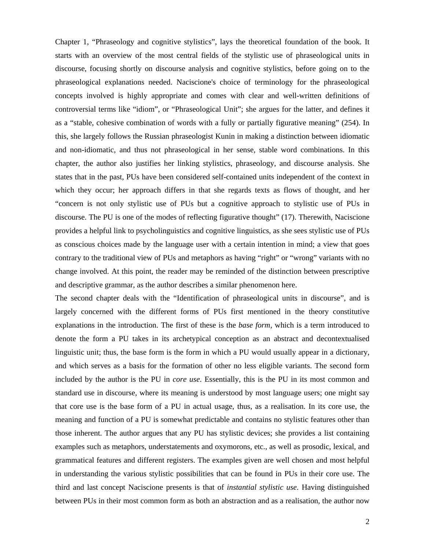Chapter 1, "Phraseology and cognitive stylistics", lays the theoretical foundation of the book. It starts with an overview of the most central fields of the stylistic use of phraseological units in discourse, focusing shortly on discourse analysis and cognitive stylistics, before going on to the phraseological explanations needed. Naciscione's choice of terminology for the phraseological concepts involved is highly appropriate and comes with clear and well-written definitions of controversial terms like "idiom", or "Phraseological Unit"; she argues for the latter, and defines it as a "stable, cohesive combination of words with a fully or partially figurative meaning" (254). In this, she largely follows the Russian phraseologist Kunin in making a distinction between idiomatic and non-idiomatic, and thus not phraseological in her sense, stable word combinations. In this chapter, the author also justifies her linking stylistics, phraseology, and discourse analysis. She states that in the past, PUs have been considered self-contained units independent of the context in which they occur; her approach differs in that she regards texts as flows of thought, and her "concern is not only stylistic use of PUs but a cognitive approach to stylistic use of PUs in discourse. The PU is one of the modes of reflecting figurative thought" (17). Therewith, Naciscione provides a helpful link to psycholinguistics and cognitive linguistics, as she sees stylistic use of PUs as conscious choices made by the language user with a certain intention in mind; a view that goes contrary to the traditional view of PUs and metaphors as having "right" or "wrong" variants with no change involved. At this point, the reader may be reminded of the distinction between prescriptive and descriptive grammar, as the author describes a similar phenomenon here.

The second chapter deals with the "Identification of phraseological units in discourse", and is largely concerned with the different forms of PUs first mentioned in the theory constitutive explanations in the introduction. The first of these is the *base form*, which is a term introduced to denote the form a PU takes in its archetypical conception as an abstract and decontextualised linguistic unit; thus, the base form is the form in which a PU would usually appear in a dictionary, and which serves as a basis for the formation of other no less eligible variants. The second form included by the author is the PU in *core use*. Essentially, this is the PU in its most common and standard use in discourse, where its meaning is understood by most language users; one might say that core use is the base form of a PU in actual usage, thus, as a realisation. In its core use, the meaning and function of a PU is somewhat predictable and contains no stylistic features other than those inherent. The author argues that any PU has stylistic devices; she provides a list containing examples such as metaphors, understatements and oxymorons, etc., as well as prosodic, lexical, and grammatical features and different registers. The examples given are well chosen and most helpful in understanding the various stylistic possibilities that can be found in PUs in their core use. The third and last concept Naciscione presents is that of *instantial stylistic use*. Having distinguished between PUs in their most common form as both an abstraction and as a realisation, the author now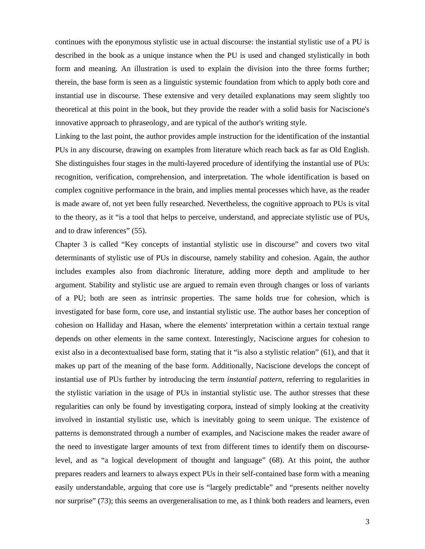continues with the eponymous stylistic use in actual discourse: the instantial stylistic use of a PU is described in the book as a unique instance when the PU is used and changed stylistically in both form and meaning. An illustration is used to explain the division into the three forms further; therein, the base form is seen as a linguistic systemic foundation from which to apply both core and instantial use in discourse. These extensive and very detailed explanations may seem slightly too theoretical at this point in the book, but they provide the reader with a solid basis for Naciscione's innovative approach to phraseology, and are typical of the author's writing style.

Linking to the last point, the author provides ample instruction for the identification of the instantial PUs in any discourse, drawing on examples from literature which reach back as far as Old English. She distinguishes four stages in the multi-layered procedure of identifying the instantial use of PUs: recognition, verification, comprehension, and interpretation. The whole identification is based on complex cognitive performance in the brain, and implies mental processes which have, as the reader is made aware of, not yet been fully researched. Nevertheless, the cognitive approach to PUs is vital to the theory, as it "is a tool that helps to perceive, understand, and appreciate stylistic use of PUs, and to draw inferences" (55).

Chapter 3 is called "Key concepts of instantial stylistic use in discourse" and covers two vital determinants of stylistic use of PUs in discourse, namely stability and cohesion. Again, the author includes examples also from diachronic literature, adding more depth and amplitude to her argument. Stability and stylistic use are argued to remain even through changes or loss of variants of a PU; both are seen as intrinsic properties. The same holds true for cohesion, which is investigated for base form, core use, and instantial stylistic use. The author bases her conception of cohesion on Halliday and Hasan, where the elements' interpretation within a certain textual range depends on other elements in the same context. Interestingly, Naciscione argues for cohesion to exist also in a decontextualised base form, stating that it "is also a stylistic relation" (61), and that it makes up part of the meaning of the base form. Additionally, Naciscione develops the concept of instantial use of PUs further by introducing the term *instantial pattern*, referring to regularities in the stylistic variation in the usage of PUs in instantial stylistic use. The author stresses that these regularities can only be found by investigating corpora, instead of simply looking at the creativity involved in instantial stylistic use, which is inevitably going to seem unique. The existence of patterns is demonstrated through a number of examples, and Naciscione makes the reader aware of the need to investigate larger amounts of text from different times to identify them on discourselevel, and as "a logical development of thought and language" (68). At this point, the author prepares readers and learners to always expect PUs in their self-contained base form with a meaning easily understandable, arguing that core use is "largely predictable" and "presents neither novelty nor surprise" (73); this seems an overgeneralisation to me, as I think both readers and learners, even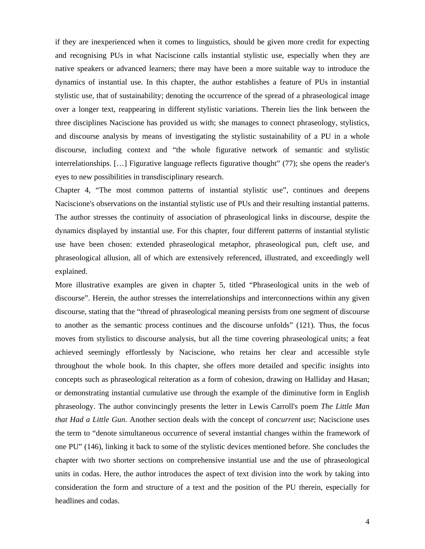if they are inexperienced when it comes to linguistics, should be given more credit for expecting and recognising PUs in what Naciscione calls instantial stylistic use, especially when they are native speakers or advanced learners; there may have been a more suitable way to introduce the dynamics of instantial use. In this chapter, the author establishes a feature of PUs in instantial stylistic use, that of sustainability; denoting the occurrence of the spread of a phraseological image over a longer text, reappearing in different stylistic variations. Therein lies the link between the three disciplines Naciscione has provided us with; she manages to connect phraseology, stylistics, and discourse analysis by means of investigating the stylistic sustainability of a PU in a whole discourse, including context and "the whole figurative network of semantic and stylistic interrelationships. […] Figurative language reflects figurative thought" (77); she opens the reader's eyes to new possibilities in transdisciplinary research.

Chapter 4, "The most common patterns of instantial stylistic use", continues and deepens Naciscione's observations on the instantial stylistic use of PUs and their resulting instantial patterns. The author stresses the continuity of association of phraseological links in discourse, despite the dynamics displayed by instantial use. For this chapter, four different patterns of instantial stylistic use have been chosen: extended phraseological metaphor, phraseological pun, cleft use, and phraseological allusion, all of which are extensively referenced, illustrated, and exceedingly well explained.

More illustrative examples are given in chapter 5, titled "Phraseological units in the web of discourse". Herein, the author stresses the interrelationships and interconnections within any given discourse, stating that the "thread of phraseological meaning persists from one segment of discourse to another as the semantic process continues and the discourse unfolds" (121). Thus, the focus moves from stylistics to discourse analysis, but all the time covering phraseological units; a feat achieved seemingly effortlessly by Naciscione, who retains her clear and accessible style throughout the whole book. In this chapter, she offers more detailed and specific insights into concepts such as phraseological reiteration as a form of cohesion, drawing on Halliday and Hasan; or demonstrating instantial cumulative use through the example of the diminutive form in English phraseology. The author convincingly presents the letter in Lewis Carroll's poem *The Little Man that Had a Little Gun*. Another section deals with the concept of *concurrent use*; Naciscione uses the term to "denote simultaneous occurrence of several instantial changes within the framework of one PU" (146), linking it back to some of the stylistic devices mentioned before. She concludes the chapter with two shorter sections on comprehensive instantial use and the use of phraseological units in codas. Here, the author introduces the aspect of text division into the work by taking into consideration the form and structure of a text and the position of the PU therein, especially for headlines and codas.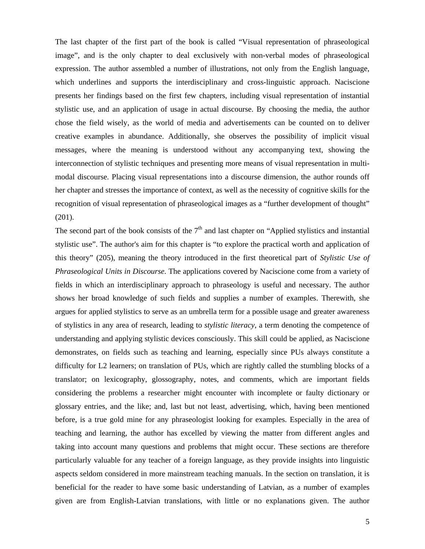The last chapter of the first part of the book is called "Visual representation of phraseological image", and is the only chapter to deal exclusively with non-verbal modes of phraseological expression. The author assembled a number of illustrations, not only from the English language, which underlines and supports the interdisciplinary and cross-linguistic approach. Naciscione presents her findings based on the first few chapters, including visual representation of instantial stylistic use, and an application of usage in actual discourse. By choosing the media, the author chose the field wisely, as the world of media and advertisements can be counted on to deliver creative examples in abundance. Additionally, she observes the possibility of implicit visual messages, where the meaning is understood without any accompanying text, showing the interconnection of stylistic techniques and presenting more means of visual representation in multimodal discourse. Placing visual representations into a discourse dimension, the author rounds off her chapter and stresses the importance of context, as well as the necessity of cognitive skills for the recognition of visual representation of phraseological images as a "further development of thought" (201).

The second part of the book consists of the  $7<sup>th</sup>$  and last chapter on "Applied stylistics and instantial stylistic use". The author's aim for this chapter is "to explore the practical worth and application of this theory" (205), meaning the theory introduced in the first theoretical part of *Stylistic Use of Phraseological Units in Discourse*. The applications covered by Naciscione come from a variety of fields in which an interdisciplinary approach to phraseology is useful and necessary. The author shows her broad knowledge of such fields and supplies a number of examples. Therewith, she argues for applied stylistics to serve as an umbrella term for a possible usage and greater awareness of stylistics in any area of research, leading to *stylistic literacy*, a term denoting the competence of understanding and applying stylistic devices consciously. This skill could be applied, as Naciscione demonstrates, on fields such as teaching and learning, especially since PUs always constitute a difficulty for L2 learners; on translation of PUs, which are rightly called the stumbling blocks of a translator; on lexicography, glossography, notes, and comments, which are important fields considering the problems a researcher might encounter with incomplete or faulty dictionary or glossary entries, and the like; and, last but not least, advertising, which, having been mentioned before, is a true gold mine for any phraseologist looking for examples. Especially in the area of teaching and learning, the author has excelled by viewing the matter from different angles and taking into account many questions and problems that might occur. These sections are therefore particularly valuable for any teacher of a foreign language, as they provide insights into linguistic aspects seldom considered in more mainstream teaching manuals. In the section on translation, it is beneficial for the reader to have some basic understanding of Latvian, as a number of examples given are from English-Latvian translations, with little or no explanations given. The author